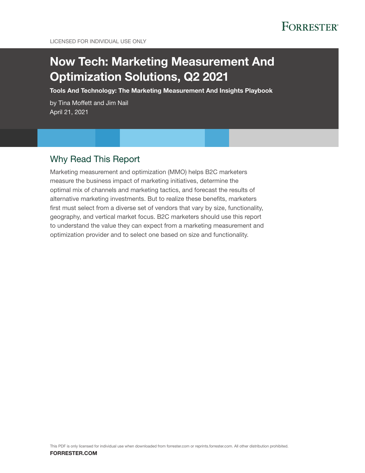

# Now Tech: Marketing Measurement And Optimization Solutions, Q2 2021

Tools And Technology: The Marketing Measurement And Insights Playbook

by Tina Moffett and Jim Nail April 21, 2021

### Why Read This Report

Marketing measurement and optimization (MMO) helps B2C marketers measure the business impact of marketing initiatives, determine the optimal mix of channels and marketing tactics, and forecast the results of alternative marketing investments. But to realize these benefits, marketers first must select from a diverse set of vendors that vary by size, functionality, geography, and vertical market focus. B2C marketers should use this report to understand the value they can expect from a marketing measurement and optimization provider and to select one based on size and functionality.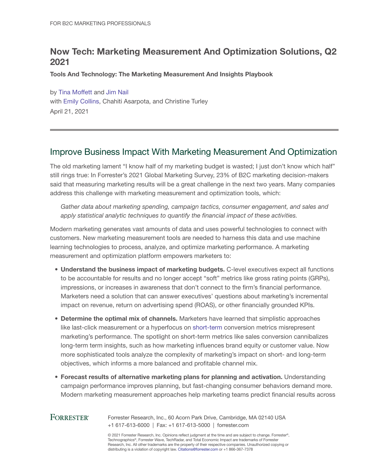## Now Tech: Marketing Measurement And Optimization Solutions, Q2 2021

Tools And Technology: The Marketing Measurement And Insights Playbook

by [Tina Moffett](http://www.forrester.com/go?objectid=BIO2775) and [Jim Nail](http://www.forrester.com/go?objectid=BIO4664) with [Emily Collins](http://www.forrester.com/go?objectid=BIO4724), Chahiti Asarpota, and Christine Turley April 21, 2021

### Improve Business Impact With Marketing Measurement And Optimization

The old marketing lament "I know half of my marketing budget is wasted; I just don't know which half" still rings true: In Forrester's 2021 Global Marketing Survey, 23% of B2C marketing decision-makers said that measuring marketing results will be a great challenge in the next two years. Many companies address this challenge with marketing measurement and optimization tools, which:

*Gather data about marketing spending, campaign tactics, consumer engagement, and sales and apply statistical analytic techniques to quantify the financial impact of these activities.*

Modern marketing generates vast amounts of data and uses powerful technologies to connect with customers. New marketing measurement tools are needed to harness this data and use machine learning technologies to process, analyze, and optimize marketing performance. A marketing measurement and optimization platform empowers marketers to:

- Understand the business impact of marketing budgets. C-level executives expect all functions to be accountable for results and no longer accept "soft" metrics like gross rating points (GRPs), impressions, or increases in awareness that don't connect to the firm's financial performance. Marketers need a solution that can answer executives' questions about marketing's incremental impact on revenue, return on advertising spend (ROAS), or other financially grounded KPIs.
- Determine the optimal mix of channels. Marketers have learned that simplistic approaches like last-click measurement or a hyperfocus on [short-term](https://www.forrester.com/go?objectid=res145915) conversion metrics misrepresent marketing's performance. The spotlight on short-term metrics like sales conversion cannibalizes long-term term insights, such as how marketing influences brand equity or customer value. Now more sophisticated tools analyze the complexity of marketing's impact on short- and long-term objectives, which informs a more balanced and profitable channel mix.
- Forecast results of alternative marketing plans for planning and activation. Understanding campaign performance improves planning, but fast-changing consumer behaviors demand more. Modern marketing measurement approaches help marketing teams predict financial results across

### **FORRESTER®**

Forrester Research, Inc., 60 Acorn Park Drive, Cambridge, MA 02140 USA +1 617-613-6000 | Fax: +1 617-613-5000 | forrester.com

© 2021 Forrester Research, Inc. Opinions reflect judgment at the time and are subject to change. Forrester®, Technographics®, Forrester Wave, TechRadar, and Total Economic Impact are trademarks of Forrester Research, Inc. All other trademarks are the property of their respective companies. Unauthorized copying or distributing is a violation of copyright law. Citations@forrester.com or +1 866-367-7378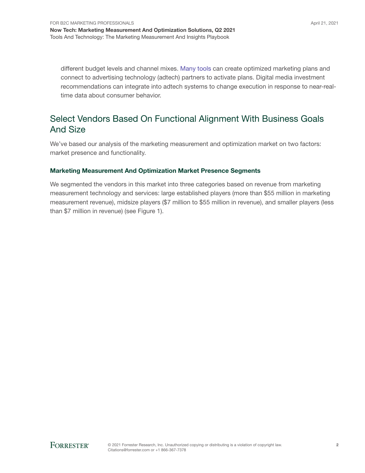different budget levels and channel mixes. [Many tools](https://www.forrester.com/go?objectid=res163079) can create optimized marketing plans and connect to advertising technology (adtech) partners to activate plans. Digital media investment recommendations can integrate into adtech systems to change execution in response to near-realtime data about consumer behavior.

### Select Vendors Based On Functional Alignment With Business Goals And Size

We've based our analysis of the marketing measurement and optimization market on two factors: market presence and functionality.

#### Marketing Measurement And Optimization Market Presence Segments

We segmented the vendors in this market into three categories based on revenue from marketing measurement technology and services: large established players (more than \$55 million in marketing measurement revenue), midsize players (\$7 million to \$55 million in revenue), and smaller players (less than \$7 million in revenue) (see Figure 1).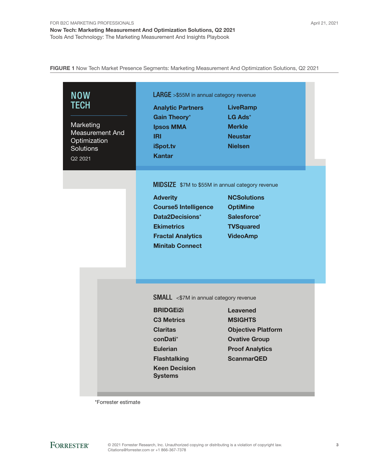FIGURE 1 Now Tech Market Presence Segments: Marketing Measurement And Optimization Solutions, Q2 2021

| <b>NOW</b><br><b>TECH</b><br>Marketing<br><b>Measurement And</b><br>Optimization<br><b>Solutions</b><br>Q2 2021 | LARGE >\$55M in annual category revenue<br><b>Analytic Partners</b><br><b>Gain Theory*</b><br><b>Ipsos MMA</b><br><b>IRI</b><br>iSpot.tv<br><b>Kantar</b>                                                 | <b>LiveRamp</b><br>$LG$ Ads <sup>*</sup><br><b>Merkle</b><br><b>Neustar</b><br><b>Nielsen</b>                                         |  |
|-----------------------------------------------------------------------------------------------------------------|-----------------------------------------------------------------------------------------------------------------------------------------------------------------------------------------------------------|---------------------------------------------------------------------------------------------------------------------------------------|--|
|                                                                                                                 | MIDSIZE \$7M to \$55M in annual category revenue<br><b>Adverity</b><br><b>Course5 Intelligence</b><br><b>Data2Decisions*</b><br><b>Ekimetrics</b><br><b>Fractal Analytics</b><br><b>Minitab Connect</b>   | <b>NCSolutions</b><br><b>OptiMine</b><br>Salesforce*<br><b>TVSquared</b><br><b>VideoAmp</b>                                           |  |
|                                                                                                                 | <b>SMALL</b> <\$7M in annual category revenue<br><b>BRIDGEi2i</b><br><b>C3 Metrics</b><br><b>Claritas</b><br>conDati*<br><b>Eulerian</b><br><b>Flashtalking</b><br><b>Keen Decision</b><br><b>Systems</b> | <b>Leavened</b><br><b>MSIGHTS</b><br><b>Objective Platform</b><br><b>Ovative Group</b><br><b>Proof Analytics</b><br><b>ScanmarQED</b> |  |

\*Forrester estimate

**FORRESTER®**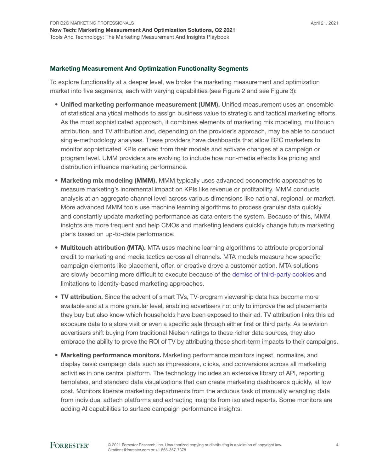#### Marketing Measurement And Optimization Functionality Segments

To explore functionality at a deeper level, we broke the marketing measurement and optimization market into five segments, each with varying capabilities (see Figure 2 and see Figure 3):

- Unified marketing performance measurement (UMM). Unified measurement uses an ensemble of statistical analytical methods to assign business value to strategic and tactical marketing efforts. As the most sophisticated approach, it combines elements of marketing mix modeling, multitouch attribution, and TV attribution and, depending on the provider's approach, may be able to conduct single-methodology analyses. These providers have dashboards that allow B2C marketers to monitor sophisticated KPIs derived from their models and activate changes at a campaign or program level. UMM providers are evolving to include how non-media effects like pricing and distribution influence marketing performance.
- Marketing mix modeling (MMM). MMM typically uses advanced econometric approaches to measure marketing's incremental impact on KPIs like revenue or profitability. MMM conducts analysis at an aggregate channel level across various dimensions like national, regional, or market. More advanced MMM tools use machine learning algorithms to process granular data quickly and constantly update marketing performance as data enters the system. Because of this, MMM insights are more frequent and help CMOs and marketing leaders quickly change future marketing plans based on up-to-date performance.
- Multitouch attribution (MTA). MTA uses machine learning algorithms to attribute proportional credit to marketing and media tactics across all channels. MTA models measure how specific campaign elements like placement, offer, or creative drove a customer action. MTA solutions are slowly becoming more difficult to execute because of the [demise of third-party cookies](https://www.forrester.com/go?objectid=res163538) and limitations to identity-based marketing approaches.
- TV attribution. Since the advent of smart TVs, TV-program viewership data has become more available and at a more granular level, enabling advertisers not only to improve the ad placements they buy but also know which households have been exposed to their ad. TV attribution links this ad exposure data to a store visit or even a specific sale through either first or third party. As television advertisers shift buying from traditional Nielsen ratings to these richer data sources, they also embrace the ability to prove the ROI of TV by attributing these short-term impacts to their campaigns.
- Marketing performance monitors. Marketing performance monitors ingest, normalize, and display basic campaign data such as impressions, clicks, and conversions across all marketing activities in one central platform. The technology includes an extensive library of API, reporting templates, and standard data visualizations that can create marketing dashboards quickly, at low cost. Monitors liberate marketing departments from the arduous task of manually wrangling data from individual adtech platforms and extracting insights from isolated reports. Some monitors are adding AI capabilities to surface campaign performance insights.

#### **FORRESTER®**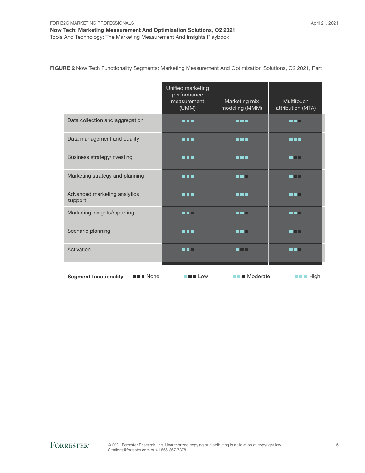FIGURE 2 Now Tech Functionality Segments: Marketing Measurement And Optimization Solutions, Q2 2021, Part 1

|                                                                    | Unified marketing<br>performance<br>measurement<br>(UMM)                                  | Marketing mix<br>modeling (MMM) | <b>Multitouch</b><br>attribution (MTA) |
|--------------------------------------------------------------------|-------------------------------------------------------------------------------------------|---------------------------------|----------------------------------------|
| Data collection and aggregation                                    | n n n                                                                                     | n n n                           | n ni n                                 |
| Data management and quality                                        | n n n                                                                                     | n n n                           | n n n                                  |
| Business strategy/investing                                        | <b>HEL</b>                                                                                | <b>R R R</b>                    | an n                                   |
| Marketing strategy and planning                                    | <b>REE</b>                                                                                | n ni s                          | n Tin                                  |
| Advanced marketing analytics<br>support                            | n na m                                                                                    | <b>REE</b>                      | n din                                  |
| Marketing insights/reporting                                       | n di s                                                                                    | n ni s                          | n n                                    |
| Scenario planning                                                  | n na m                                                                                    | n n H                           | n Ti                                   |
| Activation                                                         | n di s                                                                                    | n i H                           | n di s                                 |
| <b>Segment functionality</b><br>$\blacksquare$ $\blacksquare$ None | $\blacksquare$ $\blacksquare$ $\blacksquare$ $\blacksquare$ $\blacksquare$ $\blacksquare$ | $\blacksquare$ Moderate         | $\blacksquare$ $\blacksquare$ High     |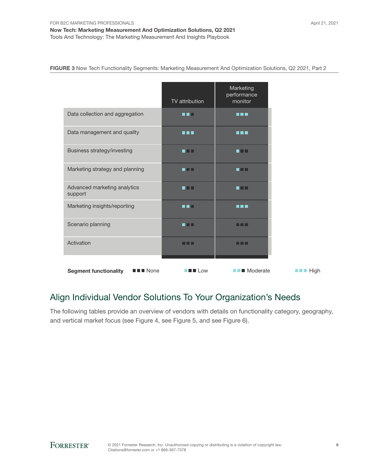Tools And Technology: The Marketing Measurement And Insights Playbook

FIGURE 3 Now Tech Functionality Segments: Marketing Measurement And Optimization Solutions, Q2 2021, Part 2

|                                                                    | TV attribution                                                                            | Marketing<br>performance<br>monitor |      |
|--------------------------------------------------------------------|-------------------------------------------------------------------------------------------|-------------------------------------|------|
| Data collection and aggregation                                    | u di s                                                                                    | 8 S S S                             |      |
| Data management and quality                                        | n na                                                                                      | n 11 A                              |      |
| Business strategy/investing                                        | an n                                                                                      | an n                                |      |
| Marketing strategy and planning                                    | n din l                                                                                   | n Mill                              |      |
| Advanced marketing analytics<br>support                            | an n                                                                                      | an n                                |      |
| Marketing insights/reporting                                       | n 1 H                                                                                     | 8 S S S                             |      |
| Scenario planning                                                  | n an                                                                                      | a a m                               |      |
| Activation                                                         | .                                                                                         | . .                                 |      |
| <b>Segment functionality</b><br>$\blacksquare$ $\blacksquare$ None | $\blacksquare$ $\blacksquare$ $\blacksquare$ $\blacksquare$ $\blacksquare$ $\blacksquare$ | $\blacksquare$ Moderate             | High |

## Align Individual Vendor Solutions To Your Organization's Needs

The following tables provide an overview of vendors with details on functionality category, geography, and vertical market focus (see Figure 4, see Figure 5, and see Figure 6).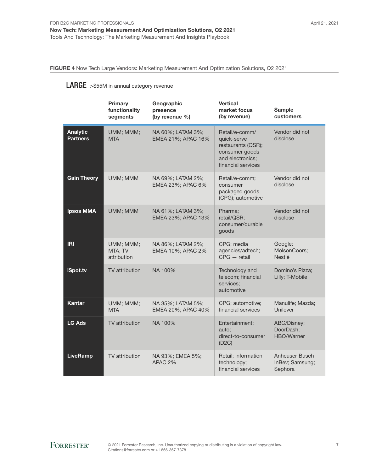FIGURE 4 Now Tech Large Vendors: Marketing Measurement And Optimization Solutions, Q2 2021

### LARGE >\$55M in annual category revenue

|                                    | Primary<br>functionality<br>segments | Geographic<br>presence<br>(by revenue %) | <b>Vertical</b><br>market focus<br>(by revenue)                                                                 | <b>Sample</b><br>customers                   |
|------------------------------------|--------------------------------------|------------------------------------------|-----------------------------------------------------------------------------------------------------------------|----------------------------------------------|
| <b>Analytic</b><br><b>Partners</b> | UMM; MMM;<br><b>MTA</b>              | NA 60%; LATAM 3%;<br>EMEA 21%; APAC 16%  | Retail/e-comm/<br>quick-serve<br>restaurants (QSR);<br>consumer goods<br>and electronics;<br>financial services | Vendor did not<br>disclose                   |
| <b>Gain Theory</b>                 | UMM; MMM                             | NA 69%; LATAM 2%;<br>EMEA 23%; APAC 6%   | Retail/e-comm;<br>consumer<br>packaged goods<br>(CPG); automotive                                               | Vendor did not<br>disclose                   |
| <b>Ipsos MMA</b>                   | UMM; MMM                             | NA 61%; LATAM 3%;<br>EMEA 23%; APAC 13%  | Pharma;<br>retail/QSR;<br>consumer/durable<br>goods                                                             | Vendor did not<br>disclose                   |
| <b>IRI</b>                         | UMM; MMM;<br>MTA; TV<br>attribution  | NA 86%; LATAM 2%;<br>EMEA 10%; APAC 2%   | CPG; media<br>agencies/adtech;<br>$CPG - \text{retail}$                                                         | Google;<br>MolsonCoors;<br><b>Nestlé</b>     |
| iSpot.tv                           | TV attribution                       | NA 100%                                  | Technology and<br>telecom; financial<br>services;<br>automotive                                                 | Domino's Pizza;<br>Lilly; T-Mobile           |
| <b>Kantar</b>                      | UMM; MMM;<br><b>MTA</b>              | NA 35%; LATAM 5%;<br>EMEA 20%; APAC 40%  | CPG; automotive;<br>financial services                                                                          | Manulife; Mazda;<br>Unilever                 |
| <b>LG Ads</b>                      | TV attribution                       | NA 100%                                  | Entertainment;<br>auto:<br>direct-to-consumer<br>(D2C)                                                          | ABC/Disney;<br>DoorDash;<br>HBO/Warner       |
| <b>LiveRamp</b>                    | TV attribution                       | NA 93%; EMEA 5%;<br>APAC 2%              | Retail; information<br>technology;<br>financial services                                                        | Anheuser-Busch<br>InBev; Samsung;<br>Sephora |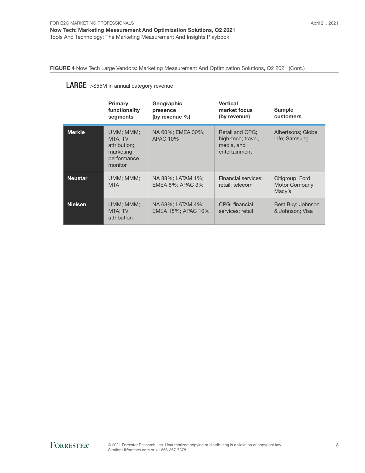FIGURE 4 Now Tech Large Vendors: Marketing Measurement And Optimization Solutions, Q2 2021 (Cont.)

### LARGE >\$55M in annual category revenue

|                | Primary<br>functionality<br>segments                                        | Geographic<br>presence<br>(by revenue $\%$ ) | <b>Vertical</b><br>market focus<br>(by revenue)                      | <b>Sample</b><br><b>customers</b>           |
|----------------|-----------------------------------------------------------------------------|----------------------------------------------|----------------------------------------------------------------------|---------------------------------------------|
| <b>Merkle</b>  | UMM; MMM;<br>MTA: TV<br>attribution:<br>marketing<br>performance<br>monitor | NA 60%; EMEA 30%;<br><b>APAC 10%</b>         | Retail and CPG;<br>high-tech; travel,<br>media, and<br>entertainment | Albertsons; Globe<br>Life; Samsung          |
| <b>Neustar</b> | UMM; MMM;<br><b>MTA</b>                                                     | NA 88%; LATAM 1%;<br>EMEA 8%; APAC 3%        | Financial services;<br>retail; telecom                               | Citigroup; Ford<br>Motor Company;<br>Macy's |
| <b>Nielsen</b> | UMM: MMM:<br>MTA: TV<br>attribution                                         | NA 68%: LATAM 4%:<br>EMEA 18%; APAC 10%      | CPG: financial<br>services; retail                                   | Best Buy; Johnson<br>& Johnson; Visa        |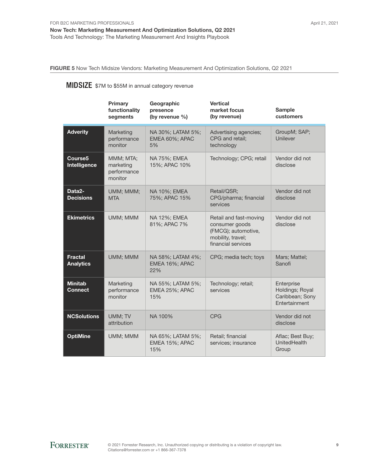FIGURE 5 Now Tech Midsize Vendors: Marketing Measurement And Optimization Solutions, Q2 2021

## **MIDSIZE** \$7M to \$55M in annual category revenue

|                                     | Primary<br>functionality<br>segments             | Geographic<br>presence<br>(by revenue $\%$ ) | <b>Vertical</b><br>market focus<br>(by revenue)                                                            | <b>Sample</b><br>customers                                               |
|-------------------------------------|--------------------------------------------------|----------------------------------------------|------------------------------------------------------------------------------------------------------------|--------------------------------------------------------------------------|
| <b>Adverity</b>                     | Marketing<br>performance<br>monitor              | NA 30%; LATAM 5%;<br>EMEA 60%; APAC<br>5%    | Advertising agencies;<br>CPG and retail:<br>technology                                                     | GroupM; SAP;<br>Unilever                                                 |
| Course <sub>5</sub><br>Intelligence | MMM; MTA;<br>marketing<br>performance<br>monitor | NA 75%; EMEA<br>15%; APAC 10%                | Technology; CPG; retail                                                                                    | Vendor did not<br>disclose                                               |
| Data2-<br><b>Decisions</b>          | UMM; MMM;<br><b>MTA</b>                          | NA 10%; EMEA<br>75%; APAC 15%                | Retail/QSR;<br>CPG/pharma; financial<br>services                                                           | Vendor did not<br>disclose                                               |
| <b>Ekimetrics</b>                   | UMM; MMM                                         | NA 12%; EMEA<br>81%; APAC 7%                 | Retail and fast-moving<br>consumer goods<br>(FMCG); automotive,<br>mobility, travel;<br>financial services | Vendor did not<br>disclose                                               |
| <b>Fractal</b><br><b>Analytics</b>  | UMM; MMM                                         | NA 58%; LATAM 4%;<br>EMEA 16%; APAC<br>22%   | CPG; media tech; toys                                                                                      | Mars; Mattel;<br>Sanofi                                                  |
| <b>Minitab</b><br><b>Connect</b>    | Marketing<br>performance<br>monitor              | NA 55%; LATAM 5%;<br>EMEA 25%; APAC<br>15%   | Technology; retail;<br>services                                                                            | Enterprise<br>Holdings; Royal<br>Caribbean; Sony<br><b>Fntertainment</b> |
| <b>NCSolutions</b>                  | UMM; TV<br>attribution                           | NA 100%                                      | <b>CPG</b>                                                                                                 | Vendor did not<br>disclose                                               |
| <b>OptiMine</b>                     | UMM; MMM                                         | NA 65%; LATAM 5%;<br>EMEA 15%; APAC<br>15%   | Retail; financial<br>services; insurance                                                                   | Aflac; Best Buy;<br>UnitedHealth<br>Group                                |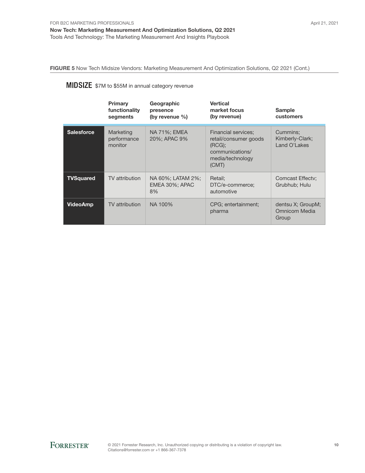FIGURE 5 Now Tech Midsize Vendors: Marketing Measurement And Optimization Solutions, Q2 2021 (Cont.)

## **MIDSIZE** \$7M to \$55M in annual category revenue

|                   | Primary<br>functionality<br>segments | Geographic<br>presence<br>(by revenue $\%$ ) | <b>Vertical</b><br>market focus<br>(by revenue)                                                        | <b>Sample</b><br>customers                         |
|-------------------|--------------------------------------|----------------------------------------------|--------------------------------------------------------------------------------------------------------|----------------------------------------------------|
| <b>Salesforce</b> | Marketing<br>performance<br>monitor  | NA 71%; EMEA<br>20%; APAC 9%                 | Financial services;<br>retail/consumer goods<br>(RCG):<br>communications/<br>media/technology<br>(CMT) | Cummins:<br>Kimberly-Clark;<br>Land O'Lakes        |
| <b>TVSquared</b>  | TV attribution                       | NA 60%; LATAM 2%;<br>EMEA 30%; APAC<br>8%    | Retail:<br>DTC/e-commerce;<br>automotive                                                               | Comcast Effecty;<br>Grubhub; Hulu                  |
| <b>VideoAmp</b>   | TV attribution                       | NA 100%                                      | CPG; entertainment;<br>pharma                                                                          | dentsu X; GroupM;<br><b>Omnicom Media</b><br>Group |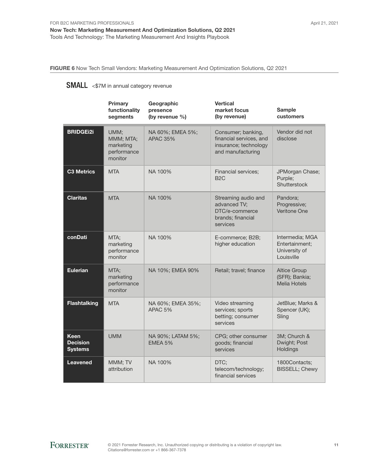FIGURE 6 Now Tech Small Vendors: Marketing Measurement And Optimization Solutions, Q2 2021

### SMALL <\$7M in annual category revenue

|                                                  | <b>Primary</b><br>functionality<br>segments              | Geographic<br>presence<br>(by revenue %) | <b>Vertical</b><br>market focus<br>(by revenue)                                             | <b>Sample</b><br>customers                                       |
|--------------------------------------------------|----------------------------------------------------------|------------------------------------------|---------------------------------------------------------------------------------------------|------------------------------------------------------------------|
| <b>BRIDGEi2i</b>                                 | UMM;<br>MMM; MTA;<br>marketing<br>performance<br>monitor | NA 60%; EMEA 5%;<br><b>APAC 35%</b>      | Consumer; banking,<br>financial services, and<br>insurance; technology<br>and manufacturing | Vendor did not<br>disclose                                       |
| <b>C3 Metrics</b>                                | <b>MTA</b>                                               | NA 100%                                  | Financial services;<br>B <sub>2</sub> C                                                     | JPMorgan Chase;<br>Purple;<br>Shutterstock                       |
| <b>Claritas</b>                                  | <b>MTA</b>                                               | NA 100%                                  | Streaming audio and<br>advanced TV;<br>DTC/e-commerce<br>brands; financial<br>services      | Pandora;<br>Progressive;<br><b>Veritone One</b>                  |
| conDati                                          | MTA;<br>marketing<br>performance<br>monitor              | NA 100%                                  | E-commerce; B2B;<br>higher education                                                        | Intermedia; MGA<br>Entertainment;<br>University of<br>Louisville |
| <b>Eulerian</b>                                  | MTA:<br>marketing<br>performance<br>monitor              | NA 10%; EMEA 90%                         | Retail; travel; finance                                                                     | <b>Altice Group</b><br>(SFR); Bankia;<br><b>Melia Hotels</b>     |
| <b>Flashtalking</b>                              | <b>MTA</b>                                               | NA 60%; EMEA 35%;<br>APAC <sub>5%</sub>  | Video streaming<br>services; sports<br>betting; consumer<br>services                        | JetBlue; Marks &<br>Spencer (UK);<br>Sling                       |
| <b>Keen</b><br><b>Decision</b><br><b>Systems</b> | <b>UMM</b>                                               | NA 90%; LATAM 5%;<br>EMEA 5%             | CPG; other consumer<br>goods; financial<br>services                                         | 3M; Church &<br>Dwight; Post<br>Holdings                         |
| <b>Leavened</b>                                  | MMM; TV<br>attribution                                   | NA 100%                                  | DTC;<br>telecom/technology;<br>financial services                                           | 1800Contacts;<br><b>BISSELL; Chewy</b>                           |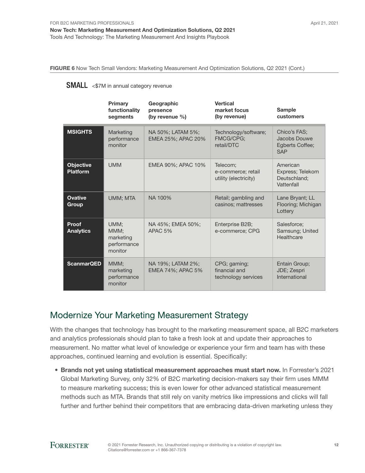FIGURE 6 Now Tech Small Vendors: Marketing Measurement And Optimization Solutions, Q2 2021 (Cont.)

#### SMALL <\$7M in annual category revenue

|                                     | Primary<br>functionality<br>segments                | Geographic<br>presence<br>(by revenue $\%$ ) | <b>Vertical</b><br>market focus<br>(by revenue)         | <b>Sample</b><br>customers                                    |
|-------------------------------------|-----------------------------------------------------|----------------------------------------------|---------------------------------------------------------|---------------------------------------------------------------|
| <b>MSIGHTS</b>                      | Marketing<br>performance<br>monitor                 | NA 50%; LATAM 5%;<br>EMEA 25%; APAC 20%      | Technology/software;<br><b>FMCG/CPG:</b><br>retail/DTC  | Chico's FAS:<br>Jacobs Douwe<br>Egberts Coffee;<br><b>SAP</b> |
| <b>Objective</b><br><b>Platform</b> | <b>UMM</b>                                          | EMEA 90%; APAC 10%                           | Telecom;<br>e-commerce; retail<br>utility (electricity) | American<br>Express; Telekom<br>Deutschland:<br>Vattenfall    |
| <b>Ovative</b><br>Group             | UMM; MTA                                            | NA 100%                                      | Retail; gambling and<br>casinos; mattresses             | Lane Bryant; LL<br>Flooring; Michigan<br>Lottery              |
| Proof<br><b>Analytics</b>           | UMM:<br>MMM:<br>marketing<br>performance<br>monitor | NA 45%; EMEA 50%;<br>APAC 5%                 | Enterprise B2B;<br>e-commerce; CPG                      | Salesforce;<br>Samsung; United<br>Healthcare                  |
| <b>ScanmarQED</b>                   | MMM;<br>marketing<br>performance<br>monitor         | NA 19%; LATAM 2%;<br>EMEA 74%; APAC 5%       | CPG; gaming;<br>financial and<br>technology services    | Entain Group;<br>JDE; Zespri<br>International                 |

### Modernize Your Marketing Measurement Strategy

With the changes that technology has brought to the marketing measurement space, all B2C marketers and analytics professionals should plan to take a fresh look at and update their approaches to measurement. No matter what level of knowledge or experience your firm and team has with these approaches, continued learning and evolution is essential. Specifically:

• Brands not yet using statistical measurement approaches must start now. In Forrester's 2021 Global Marketing Survey, only 32% of B2C marketing decision-makers say their firm uses MMM to measure marketing success; this is even lower for other advanced statistical measurement methods such as MTA. Brands that still rely on vanity metrics like impressions and clicks will fall further and further behind their competitors that are embracing data-driven marketing unless they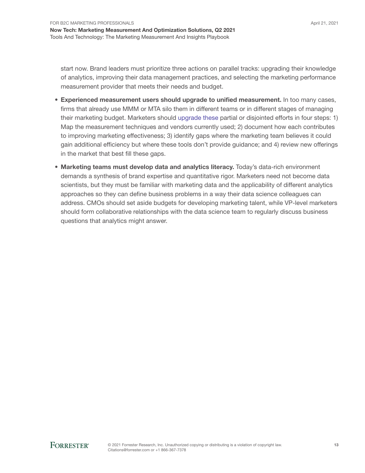start now. Brand leaders must prioritize three actions on parallel tracks: upgrading their knowledge of analytics, improving their data management practices, and selecting the marketing performance measurement provider that meets their needs and budget.

- Experienced measurement users should upgrade to unified measurement. In too many cases, firms that already use MMM or MTA silo them in different teams or in different stages of managing their marketing budget. Marketers should [upgrade these](https://www.forrester.com/go?objectid=res163079) partial or disjointed efforts in four steps: 1) Map the measurement techniques and vendors currently used; 2) document how each contributes to improving marketing effectiveness; 3) identify gaps where the marketing team believes it could gain additional efficiency but where these tools don't provide guidance; and 4) review new offerings in the market that best fill these gaps.
- Marketing teams must develop data and analytics literacy. Today's data-rich environment demands a synthesis of brand expertise and quantitative rigor. Marketers need not become data scientists, but they must be familiar with marketing data and the applicability of different analytics approaches so they can define business problems in a way their data science colleagues can address. CMOs should set aside budgets for developing marketing talent, while VP-level marketers should form collaborative relationships with the data science team to regularly discuss business questions that analytics might answer.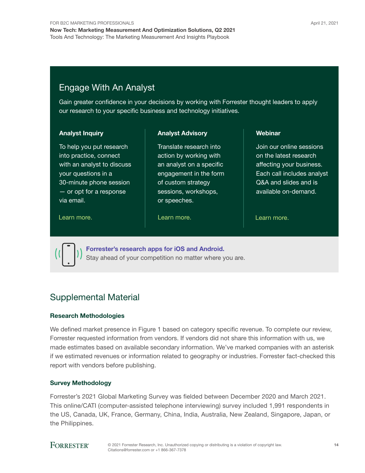### Engage With An Analyst

Gain greater confidence in your decisions by working with Forrester thought leaders to apply our research to your specific business and technology initiatives.

#### Analyst Inquiry

To help you put research into practice, connect with an analyst to discuss your questions in a 30-minute phone session — or opt for a response via email.

Analyst Advisory

Translate research into action by working with an analyst on a specific engagement in the form of custom strategy sessions, workshops, or speeches.

[Learn more.](https://www.forrester.com/events?N=10006+5025) The contract the learn more. The contract the learn more.

Webinar

Join our online sessions on the latest research affecting your business. Each call includes analyst Q&A and slides and is available on-demand.



[Forrester's research apps for iOS and Android.](http://www.forrester.com/app) Stay ahead of your competition no matter where you are.

### Supplemental Material

#### Research Methodologies

We defined market presence in Figure 1 based on category specific revenue. To complete our review, Forrester requested information from vendors. If vendors did not share this information with us, we made estimates based on available secondary information. We've marked companies with an asterisk if we estimated revenues or information related to geography or industries. Forrester fact-checked this report with vendors before publishing.

#### Survey Methodology

Forrester's 2021 Global Marketing Survey was fielded between December 2020 and March 2021. This online/CATI (computer-assisted telephone interviewing) survey included 1,991 respondents in the US, Canada, UK, France, Germany, China, India, Australia, New Zealand, Singapore, Japan, or the Philippines.

### **FORRESTER®**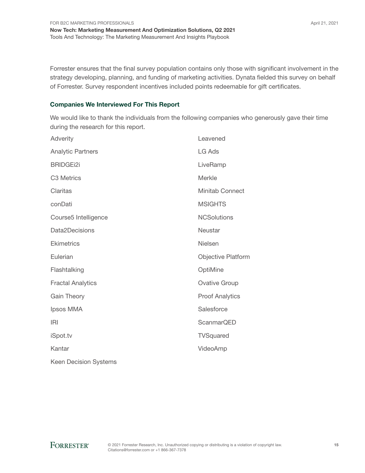Forrester ensures that the final survey population contains only those with significant involvement in the strategy developing, planning, and funding of marketing activities. Dynata fielded this survey on behalf of Forrester. Survey respondent incentives included points redeemable for gift certificates.

#### Companies We Interviewed For This Report

We would like to thank the individuals from the following companies who generously gave their time during the research for this report.

| Adverity                     | Leavened                  |
|------------------------------|---------------------------|
| <b>Analytic Partners</b>     | LG Ads                    |
| <b>BRIDGEi2i</b>             | LiveRamp                  |
| C3 Metrics                   | Merkle                    |
| Claritas                     | <b>Minitab Connect</b>    |
| conDati                      | <b>MSIGHTS</b>            |
| Course5 Intelligence         | <b>NCSolutions</b>        |
| Data2Decisions               | Neustar                   |
| <b>Ekimetrics</b>            | Nielsen                   |
| Eulerian                     | <b>Objective Platform</b> |
| Flashtalking                 | OptiMine                  |
| <b>Fractal Analytics</b>     | <b>Ovative Group</b>      |
| <b>Gain Theory</b>           | <b>Proof Analytics</b>    |
| Ipsos MMA                    | Salesforce                |
| <b>IRI</b>                   | <b>ScanmarQED</b>         |
| iSpot.tv                     | TVSquared                 |
| Kantar                       | VideoAmp                  |
| <b>Keen Decision Systems</b> |                           |